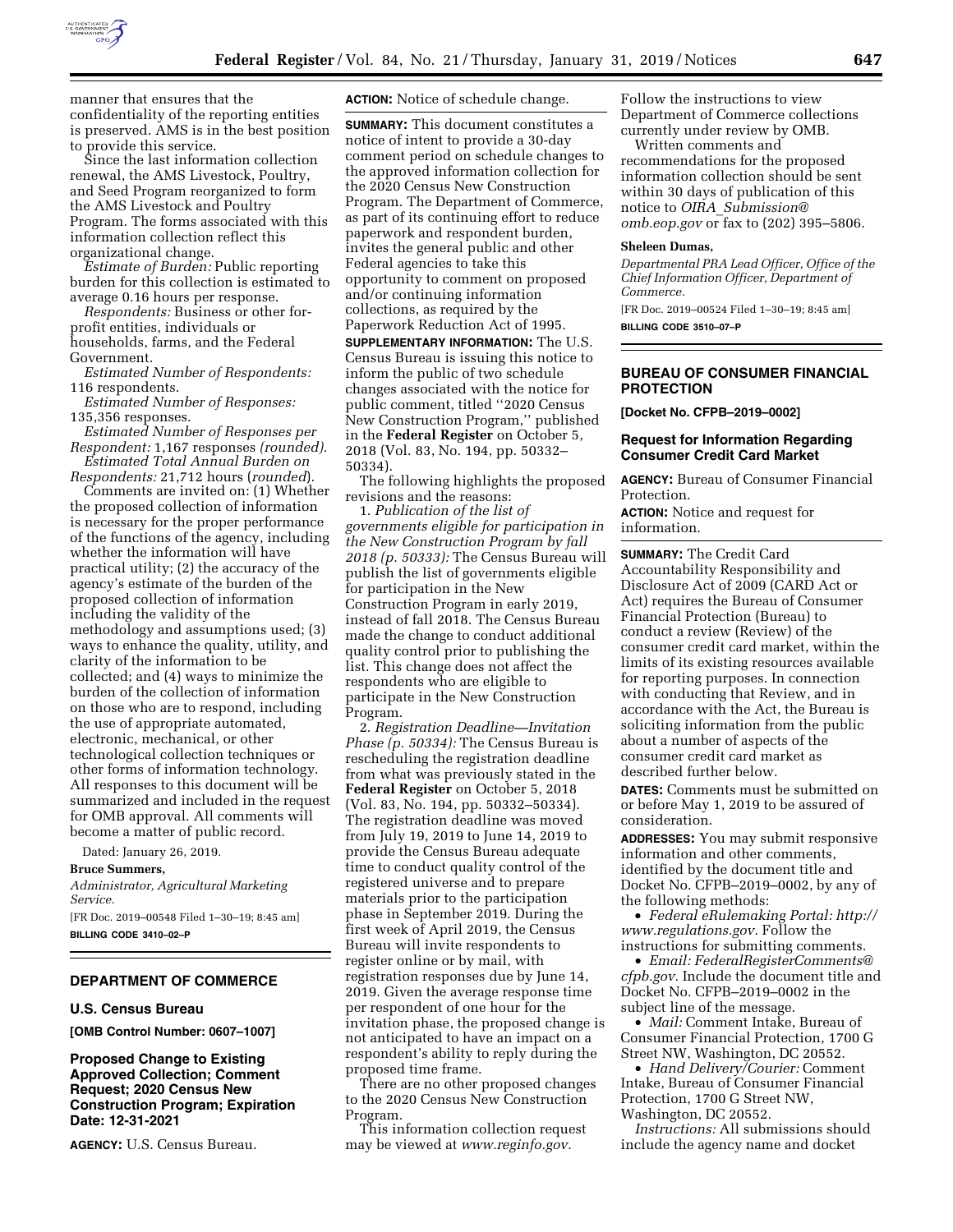

manner that ensures that the confidentiality of the reporting entities is preserved. AMS is in the best position to provide this service.

Since the last information collection renewal, the AMS Livestock, Poultry, and Seed Program reorganized to form the AMS Livestock and Poultry Program. The forms associated with this information collection reflect this organizational change.

*Estimate of Burden:* Public reporting burden for this collection is estimated to average 0.16 hours per response.

*Respondents:* Business or other forprofit entities, individuals or households, farms, and the Federal Government.

*Estimated Number of Respondents:*  116 respondents.

*Estimated Number of Responses:*  135,356 responses.

*Estimated Number of Responses per Respondent:* 1,167 responses *(rounded). Estimated Total Annual Burden on* 

*Respondents:* 21,712 hours (*rounded*).

Comments are invited on: (1) Whether the proposed collection of information is necessary for the proper performance of the functions of the agency, including whether the information will have practical utility; (2) the accuracy of the agency's estimate of the burden of the proposed collection of information including the validity of the methodology and assumptions used; (3) ways to enhance the quality, utility, and clarity of the information to be collected; and (4) ways to minimize the burden of the collection of information on those who are to respond, including the use of appropriate automated, electronic, mechanical, or other technological collection techniques or other forms of information technology. All responses to this document will be summarized and included in the request for OMB approval. All comments will become a matter of public record.

Dated: January 26, 2019.

**Bruce Summers,** 

*Administrator, Agricultural Marketing Service.* 

[FR Doc. 2019–00548 Filed 1–30–19; 8:45 am] **BILLING CODE 3410–02–P** 

#### **DEPARTMENT OF COMMERCE**

#### **U.S. Census Bureau**

**[OMB Control Number: 0607–1007]** 

**Proposed Change to Existing Approved Collection; Comment Request; 2020 Census New Construction Program; Expiration Date: 12-31-2021** 

**AGENCY:** U.S. Census Bureau.

**ACTION:** Notice of schedule change.

**SUMMARY:** This document constitutes a notice of intent to provide a 30-day comment period on schedule changes to the approved information collection for the 2020 Census New Construction Program. The Department of Commerce, as part of its continuing effort to reduce paperwork and respondent burden, invites the general public and other Federal agencies to take this opportunity to comment on proposed and/or continuing information collections, as required by the Paperwork Reduction Act of 1995.

**SUPPLEMENTARY INFORMATION:** The U.S. Census Bureau is issuing this notice to inform the public of two schedule changes associated with the notice for public comment, titled ''2020 Census New Construction Program,'' published in the **Federal Register** on October 5, 2018 (Vol. 83, No. 194, pp. 50332– 50334).

The following highlights the proposed revisions and the reasons:

1. *Publication of the list of governments eligible for participation in the New Construction Program by fall 2018 (p. 50333):* The Census Bureau will publish the list of governments eligible for participation in the New Construction Program in early 2019, instead of fall 2018. The Census Bureau made the change to conduct additional quality control prior to publishing the list. This change does not affect the respondents who are eligible to participate in the New Construction Program.

2. *Registration Deadline—Invitation Phase (p. 50334):* The Census Bureau is rescheduling the registration deadline from what was previously stated in the **Federal Register** on October 5, 2018 (Vol. 83, No. 194, pp. 50332–50334). The registration deadline was moved from July 19, 2019 to June 14, 2019 to provide the Census Bureau adequate time to conduct quality control of the registered universe and to prepare materials prior to the participation phase in September 2019. During the first week of April 2019, the Census Bureau will invite respondents to register online or by mail, with registration responses due by June 14, 2019. Given the average response time per respondent of one hour for the invitation phase, the proposed change is not anticipated to have an impact on a respondent's ability to reply during the proposed time frame.

There are no other proposed changes to the 2020 Census New Construction Program.

This information collection request may be viewed at *[www.reginfo.gov.](http://www.reginfo.gov)* 

Follow the instructions to view Department of Commerce collections currently under review by OMB. Written comments and

recommendations for the proposed information collection should be sent within 30 days of publication of this notice to *OIRA*\_*[Submission@](mailto:OIRA_Submission@omb.eop.gov) [omb.eop.gov](mailto:OIRA_Submission@omb.eop.gov)* or fax to (202) 395–5806.

#### **Sheleen Dumas,**

*Departmental PRA Lead Officer, Office of the Chief Information Officer, Department of Commerce.* 

[FR Doc. 2019–00524 Filed 1–30–19; 8:45 am] **BILLING CODE 3510–07–P** 

#### **BUREAU OF CONSUMER FINANCIAL PROTECTION**

**[Docket No. CFPB–2019–0002]** 

#### **Request for Information Regarding Consumer Credit Card Market**

**AGENCY:** Bureau of Consumer Financial Protection.

**ACTION:** Notice and request for information.

**SUMMARY:** The Credit Card Accountability Responsibility and Disclosure Act of 2009 (CARD Act or Act) requires the Bureau of Consumer Financial Protection (Bureau) to conduct a review (Review) of the consumer credit card market, within the limits of its existing resources available for reporting purposes. In connection with conducting that Review, and in accordance with the Act, the Bureau is soliciting information from the public about a number of aspects of the consumer credit card market as described further below.

**DATES:** Comments must be submitted on or before May 1, 2019 to be assured of consideration.

**ADDRESSES:** You may submit responsive information and other comments, identified by the document title and Docket No. CFPB–2019–0002, by any of the following methods:

• *Federal eRulemaking Portal: [http://](http://www.regulations.gov)  [www.regulations.gov.](http://www.regulations.gov)* Follow the instructions for submitting comments.

• *Email: [FederalRegisterComments@](mailto:FederalRegisterComments@cfpb.gov) [cfpb.gov.](mailto:FederalRegisterComments@cfpb.gov)* Include the document title and Docket No. CFPB–2019–0002 in the subject line of the message.

• *Mail:* Comment Intake, Bureau of Consumer Financial Protection, 1700 G Street NW, Washington, DC 20552.

• *Hand Delivery/Courier:* Comment Intake, Bureau of Consumer Financial Protection, 1700 G Street NW, Washington, DC 20552.

*Instructions:* All submissions should include the agency name and docket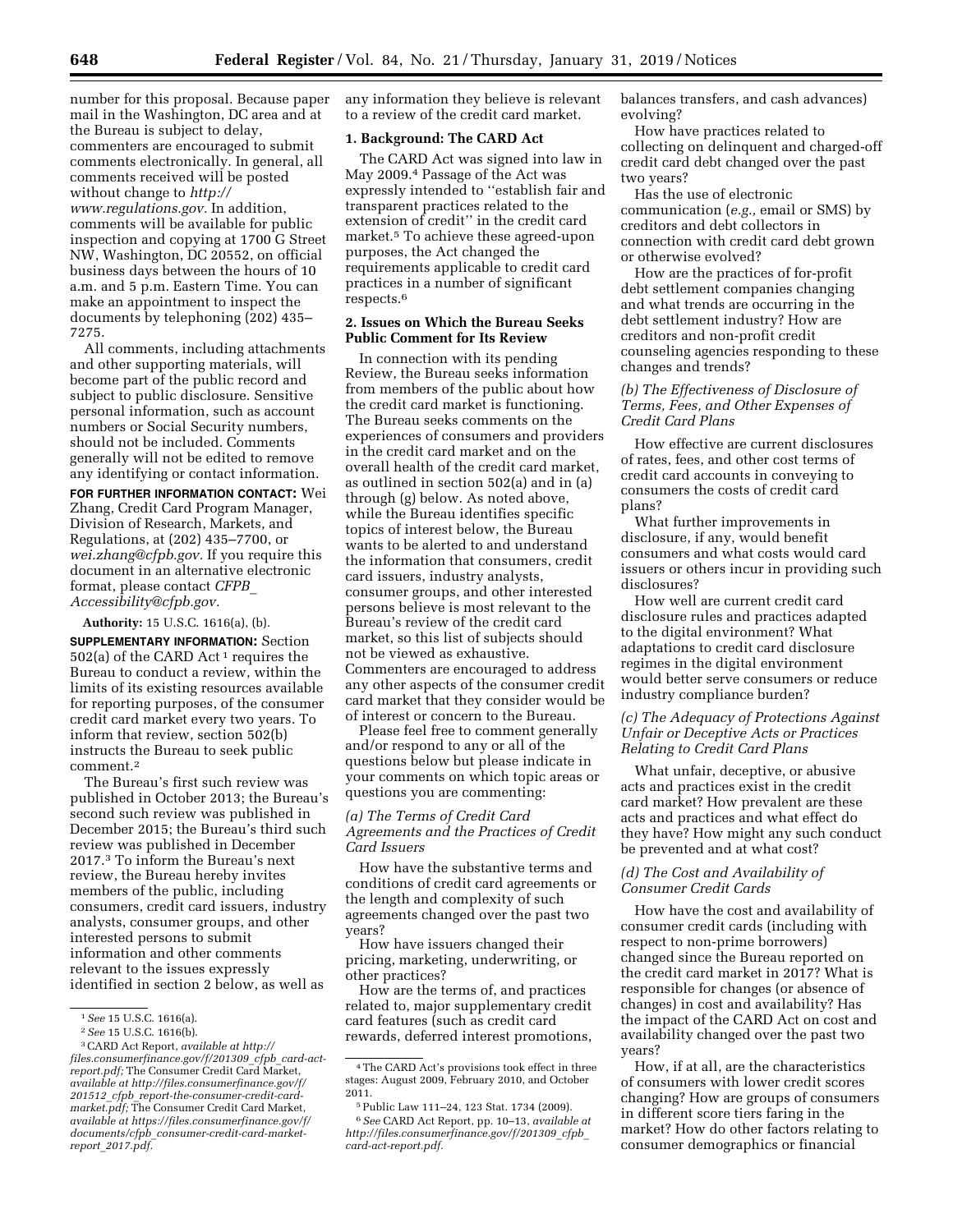number for this proposal. Because paper mail in the Washington, DC area and at the Bureau is subject to delay, commenters are encouraged to submit comments electronically. In general, all comments received will be posted without change to *[http://](http://www.regulations.gov) [www.regulations.gov.](http://www.regulations.gov)* In addition, comments will be available for public inspection and copying at 1700 G Street NW, Washington, DC 20552, on official business days between the hours of 10 a.m. and 5 p.m. Eastern Time. You can make an appointment to inspect the documents by telephoning (202) 435– 7275.

All comments, including attachments and other supporting materials, will become part of the public record and subject to public disclosure. Sensitive personal information, such as account numbers or Social Security numbers, should not be included. Comments generally will not be edited to remove any identifying or contact information.

**FOR FURTHER INFORMATION CONTACT:** Wei Zhang, Credit Card Program Manager, Division of Research, Markets, and Regulations, at (202) 435–7700, or *[wei.zhang@cfpb.gov.](mailto:wei.zhang@cfpb.gov)* If you require this document in an alternative electronic format, please contact *[CFPB](mailto:CFPB_Accessibility@cfpb.gov)*\_ *[Accessibility@cfpb.gov.](mailto:CFPB_Accessibility@cfpb.gov)* 

**Authority:** 15 U.S.C. 1616(a), (b).

**SUPPLEMENTARY INFORMATION:** Section 502(a) of the CARD Act<sup>1</sup> requires the Bureau to conduct a review, within the limits of its existing resources available for reporting purposes, of the consumer credit card market every two years. To inform that review, section 502(b) instructs the Bureau to seek public comment.2

The Bureau's first such review was published in October 2013; the Bureau's second such review was published in December 2015; the Bureau's third such review was published in December 2017.3 To inform the Bureau's next review, the Bureau hereby invites members of the public, including consumers, credit card issuers, industry analysts, consumer groups, and other interested persons to submit information and other comments relevant to the issues expressly identified in section 2 below, as well as

any information they believe is relevant to a review of the credit card market.

#### **1. Background: The CARD Act**

The CARD Act was signed into law in May 2009.4 Passage of the Act was expressly intended to ''establish fair and transparent practices related to the extension of credit'' in the credit card market.5 To achieve these agreed-upon purposes, the Act changed the requirements applicable to credit card practices in a number of significant respects.6

### **2. Issues on Which the Bureau Seeks Public Comment for Its Review**

In connection with its pending Review, the Bureau seeks information from members of the public about how the credit card market is functioning. The Bureau seeks comments on the experiences of consumers and providers in the credit card market and on the overall health of the credit card market, as outlined in section 502(a) and in (a) through (g) below. As noted above, while the Bureau identifies specific topics of interest below, the Bureau wants to be alerted to and understand the information that consumers, credit card issuers, industry analysts, consumer groups, and other interested persons believe is most relevant to the Bureau's review of the credit card market, so this list of subjects should not be viewed as exhaustive. Commenters are encouraged to address any other aspects of the consumer credit card market that they consider would be of interest or concern to the Bureau.

Please feel free to comment generally and/or respond to any or all of the questions below but please indicate in your comments on which topic areas or questions you are commenting:

## *(a) The Terms of Credit Card Agreements and the Practices of Credit Card Issuers*

How have the substantive terms and conditions of credit card agreements or the length and complexity of such agreements changed over the past two years?

How have issuers changed their pricing, marketing, underwriting, or other practices?

How are the terms of, and practices related to, major supplementary credit card features (such as credit card rewards, deferred interest promotions, balances transfers, and cash advances) evolving?

How have practices related to collecting on delinquent and charged-off credit card debt changed over the past two years?

Has the use of electronic communication (*e.g.,* email or SMS) by creditors and debt collectors in connection with credit card debt grown or otherwise evolved?

How are the practices of for-profit debt settlement companies changing and what trends are occurring in the debt settlement industry? How are creditors and non-profit credit counseling agencies responding to these changes and trends?

### *(b) The Effectiveness of Disclosure of Terms, Fees, and Other Expenses of Credit Card Plans*

How effective are current disclosures of rates, fees, and other cost terms of credit card accounts in conveying to consumers the costs of credit card plans?

What further improvements in disclosure, if any, would benefit consumers and what costs would card issuers or others incur in providing such disclosures?

How well are current credit card disclosure rules and practices adapted to the digital environment? What adaptations to credit card disclosure regimes in the digital environment would better serve consumers or reduce industry compliance burden?

## *(c) The Adequacy of Protections Against Unfair or Deceptive Acts or Practices Relating to Credit Card Plans*

What unfair, deceptive, or abusive acts and practices exist in the credit card market? How prevalent are these acts and practices and what effect do they have? How might any such conduct be prevented and at what cost?

### *(d) The Cost and Availability of Consumer Credit Cards*

How have the cost and availability of consumer credit cards (including with respect to non-prime borrowers) changed since the Bureau reported on the credit card market in 2017? What is responsible for changes (or absence of changes) in cost and availability? Has the impact of the CARD Act on cost and availability changed over the past two years?

How, if at all, are the characteristics of consumers with lower credit scores changing? How are groups of consumers in different score tiers faring in the market? How do other factors relating to consumer demographics or financial

<sup>1</sup>*See* 15 U.S.C. 1616(a).

<sup>2</sup>*See* 15 U.S.C. 1616(b).

<sup>3</sup>CARD Act Report, *available at [http://](http://files.consumerfinance.gov/f/201309_cfpb_card-act-report.pdf) [files.consumerfinance.gov/f/201309](http://files.consumerfinance.gov/f/201309_cfpb_card-act-report.pdf)*\_*cfpb*\_*card-act[report.pdf;](http://files.consumerfinance.gov/f/201309_cfpb_card-act-report.pdf)* The Consumer Credit Card Market, *available at [http://files.consumerfinance.gov/f/](http://files.consumerfinance.gov/f/201512_cfpb_report-the-consumer-credit-card-market.pdf)  201512*\_*cfpb*\_*[report-the-consumer-credit-card](http://files.consumerfinance.gov/f/201512_cfpb_report-the-consumer-credit-card-market.pdf)[market.pdf;](http://files.consumerfinance.gov/f/201512_cfpb_report-the-consumer-credit-card-market.pdf)* The Consumer Credit Card Market, *available at [https://files.consumerfinance.gov/f/](https://files.consumerfinance.gov/f/documents/cfpb_consumer-credit-card-market-report_2017.pdf)  documents/cfpb*\_*[consumer-credit-card-market](https://files.consumerfinance.gov/f/documents/cfpb_consumer-credit-card-market-report_2017.pdf)report*\_*[2017.pdf.](https://files.consumerfinance.gov/f/documents/cfpb_consumer-credit-card-market-report_2017.pdf)* 

<sup>4</sup>The CARD Act's provisions took effect in three stages: August 2009, February 2010, and October 2011.

<sup>5</sup>Public Law 111–24, 123 Stat. 1734 (2009). 6*See* CARD Act Report, pp. 10–13, *available at [http://files.consumerfinance.gov/f/201309](http://files.consumerfinance.gov/f/201309_cfpb_card-act-report.pdf)*\_*cfpb*\_ *[card-act-report.pdf.](http://files.consumerfinance.gov/f/201309_cfpb_card-act-report.pdf)*